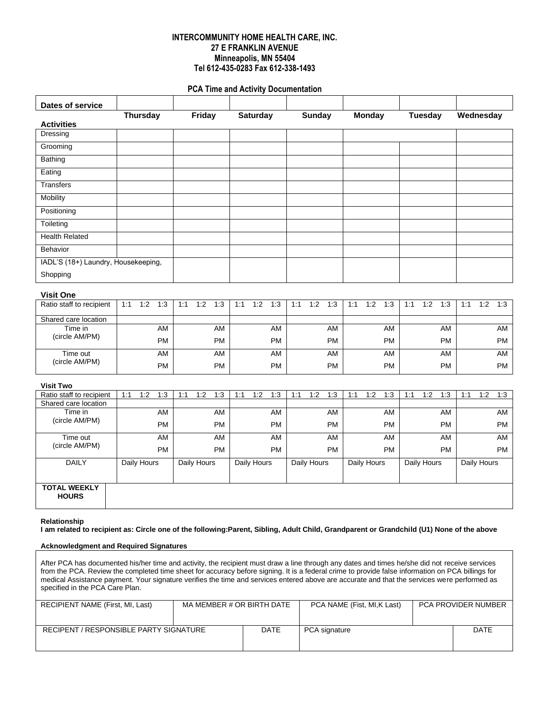## **INTERCOMMUNITY HOME HEALTH CARE, INC. 27 E FRANKLIN AVENUE Minneapolis, MN 55404 Tel 612-435-0283 Fax 612-338-1493**

## **PCA Time and Activity Documentation**

| <b>Dates of service</b>             |     |                 |           |     |                    |           |     |                 |           |     |               |           |                    |               |           |     |                |           |           |                    |           |
|-------------------------------------|-----|-----------------|-----------|-----|--------------------|-----------|-----|-----------------|-----------|-----|---------------|-----------|--------------------|---------------|-----------|-----|----------------|-----------|-----------|--------------------|-----------|
|                                     |     | <b>Thursday</b> |           |     | Friday             |           |     | <b>Saturday</b> |           |     | <b>Sunday</b> |           |                    | <b>Monday</b> |           |     | <b>Tuesday</b> |           | Wednesday |                    |           |
| <b>Activities</b>                   |     |                 |           |     |                    |           |     |                 |           |     |               |           |                    |               |           |     |                |           |           |                    |           |
| Dressing                            |     |                 |           |     |                    |           |     |                 |           |     |               |           |                    |               |           |     |                |           |           |                    |           |
| Grooming                            |     |                 |           |     |                    |           |     |                 |           |     |               |           |                    |               |           |     |                |           |           |                    |           |
| <b>Bathing</b>                      |     |                 |           |     |                    |           |     |                 |           |     |               |           |                    |               |           |     |                |           |           |                    |           |
| Eating                              |     |                 |           |     |                    |           |     |                 |           |     |               |           |                    |               |           |     |                |           |           |                    |           |
| <b>Transfers</b>                    |     |                 |           |     |                    |           |     |                 |           |     |               |           |                    |               |           |     |                |           |           |                    |           |
| Mobility                            |     |                 |           |     |                    |           |     |                 |           |     |               |           |                    |               |           |     |                |           |           |                    |           |
| Positioning                         |     |                 |           |     |                    |           |     |                 |           |     |               |           |                    |               |           |     |                |           |           |                    |           |
| Toileting                           |     |                 |           |     |                    |           |     |                 |           |     |               |           |                    |               |           |     |                |           |           |                    |           |
| <b>Health Related</b>               |     |                 |           |     |                    |           |     |                 |           |     |               |           |                    |               |           |     |                |           |           |                    |           |
| <b>Behavior</b>                     |     |                 |           |     |                    |           |     |                 |           |     |               |           |                    |               |           |     |                |           |           |                    |           |
| IADL'S (18+) Laundry, Housekeeping, |     |                 |           |     |                    |           |     |                 |           |     |               |           |                    |               |           |     |                |           |           |                    |           |
| Shopping                            |     |                 |           |     |                    |           |     |                 |           |     |               |           |                    |               |           |     |                |           |           |                    |           |
|                                     |     |                 |           |     |                    |           |     |                 |           |     |               |           |                    |               |           |     |                |           |           |                    |           |
| <b>Visit One</b>                    |     |                 |           |     |                    |           |     |                 |           |     |               |           |                    |               |           |     |                |           |           |                    |           |
| Ratio staff to recipient            | 1:1 | 1:2             | 1:3       | 1:1 | 1:2                | 1:3       | 1:1 | 1:2             | 1:3       | 1:1 | 1:2           | 1:3       | 1:1                | 1:2           | 1:3       | 1:1 | 1:2            | 1:3       | 1:1       | 1:2                | 1:3       |
| Shared care location                |     |                 |           |     |                    |           |     |                 |           |     |               |           |                    |               |           |     |                |           |           |                    |           |
| Time in<br>(circle AM/PM)           |     |                 | <b>AM</b> |     |                    | AM        |     |                 | AM        |     |               | AM        |                    |               | AM        |     |                | AM        |           |                    | AM        |
|                                     |     |                 | <b>PM</b> |     |                    | <b>PM</b> |     |                 | <b>PM</b> |     |               | <b>PM</b> |                    |               | <b>PM</b> |     |                | <b>PM</b> |           |                    | <b>PM</b> |
| Time out                            |     |                 | <b>AM</b> |     |                    | AM        |     |                 | AM        |     |               | AM        |                    |               | AM        |     |                | AM        |           |                    | AM        |
| (circle AM/PM)                      |     |                 | <b>PM</b> |     |                    | <b>PM</b> |     |                 | <b>PM</b> |     |               | <b>PM</b> |                    |               | <b>PM</b> |     |                | PM        |           |                    | PM        |
| <b>Visit Two</b>                    |     |                 |           |     |                    |           |     |                 |           |     |               |           |                    |               |           |     |                |           |           |                    |           |
| Ratio staff to recipient            | 1:1 | 1:2             | 1:3       | 1:1 | 1:2                | 1:3       | 1:1 | 1:2             | 1:3       | 1:1 | 1:2           | 1:3       | 1:1                | 1:2           | 1:3       | 1:1 | 1:2            | 1:3       | 1:1       | 1:2                | 1:3       |
| Shared care location                |     |                 |           |     |                    |           |     |                 |           |     |               |           |                    |               |           |     |                |           |           |                    |           |
| Time in                             |     |                 | AM        |     |                    | AM        |     |                 | AM        |     |               | AM        |                    |               | AM        |     |                | AM        |           |                    | AM        |
| (circle AM/PM)                      |     |                 | <b>PM</b> |     |                    | PM        |     |                 | PM        |     |               | PM        |                    |               | PM        |     |                | PM        |           |                    | <b>PM</b> |
| Time out                            |     |                 | <b>AM</b> |     |                    | AM        |     |                 | AM        |     |               | AM        |                    |               | AM        |     |                | AM        |           |                    | AM        |
| (circle AM/PM)                      |     |                 | <b>PM</b> |     |                    | <b>PM</b> |     |                 | <b>PM</b> |     |               | <b>PM</b> |                    |               | <b>PM</b> |     |                | <b>PM</b> |           |                    | <b>PM</b> |
| <b>DAILY</b>                        |     | Daily Hours     |           |     | <b>Daily Hours</b> |           |     | Daily Hours     |           |     | Daily Hours   |           | <b>Daily Hours</b> |               |           |     | Daily Hours    |           |           | <b>Daily Hours</b> |           |
|                                     |     |                 |           |     |                    |           |     |                 |           |     |               |           |                    |               |           |     |                |           |           |                    |           |
| <b>TOTAL WEEKLY</b><br><b>HOURS</b> |     |                 |           |     |                    |           |     |                 |           |     |               |           |                    |               |           |     |                |           |           |                    |           |

#### **Relationship**

**I am related to recipient as: Circle one of the following:Parent, Sibling, Adult Child, Grandparent or Grandchild (U1) None of the above** 

### **Acknowledgment and Required Signatures**

After PCA has documented his/her time and activity, the recipient must draw a line through any dates and times he/she did not receive services from the PCA. Review the completed time sheet for accuracy before signing. It is a federal crime to provide false information on PCA billings for medical Assistance payment. Your signature verifies the time and services entered above are accurate and that the services were performed as specified in the PCA Care Plan.

| RECIPIENT NAME (First, MI, Last)       | MA MEMBER # OR BIRTH DATE |             | PCA NAME (Fist, MI, K Last) | <b>PCA PROVIDER NUMBER</b> |
|----------------------------------------|---------------------------|-------------|-----------------------------|----------------------------|
| RECIPENT / RESPONSIBLE PARTY SIGNATURE |                           | <b>DATE</b> | PCA signature               | <b>DATE</b>                |